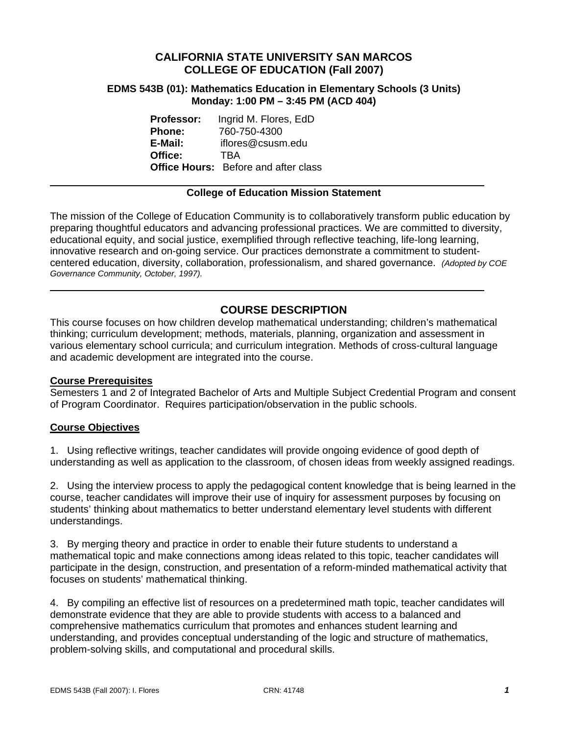# **CALIFORNIA STATE UNIVERSITY SAN MARCOS COLLEGE OF EDUCATION (Fall 2007)**

#### **EDMS 543B (01): Mathematics Education in Elementary Schools (3 Units) Monday: 1:00 PM – 3:45 PM (ACD 404)**

| <b>Professor:</b> | Ingrid M. Flores, EdD                       |
|-------------------|---------------------------------------------|
| <b>Phone:</b>     | 760-750-4300                                |
| E-Mail:           | iflores@csusm.edu                           |
| Office:           | <b>TRA</b>                                  |
|                   | <b>Office Hours:</b> Before and after class |

#### **College of Education Mission Statement**

The mission of the College of Education Community is to collaboratively transform public education by preparing thoughtful educators and advancing professional practices. We are committed to diversity, educational equity, and social justice, exemplified through reflective teaching, life-long learning, innovative research and on-going service. Our practices demonstrate a commitment to studentcentered education, diversity, collaboration, professionalism, and shared governance. *(Adopted by COE Governance Community, October, 1997).* 

# **COURSE DESCRIPTION**

This course focuses on how children develop mathematical understanding; children's mathematical thinking; curriculum development; methods, materials, planning, organization and assessment in various elementary school curricula; and curriculum integration. Methods of cross-cultural language and academic development are integrated into the course.

#### **Course Prerequisites**

Semesters 1 and 2 of Integrated Bachelor of Arts and Multiple Subject Credential Program and consent of Program Coordinator. Requires participation/observation in the public schools.

#### **Course Objectives**

1. Using reflective writings, teacher candidates will provide ongoing evidence of good depth of understanding as well as application to the classroom, of chosen ideas from weekly assigned readings.

2. Using the interview process to apply the pedagogical content knowledge that is being learned in the course, teacher candidates will improve their use of inquiry for assessment purposes by focusing on students' thinking about mathematics to better understand elementary level students with different understandings.

3. By merging theory and practice in order to enable their future students to understand a mathematical topic and make connections among ideas related to this topic, teacher candidates will participate in the design, construction, and presentation of a reform-minded mathematical activity that focuses on students' mathematical thinking.

4. By compiling an effective list of resources on a predetermined math topic, teacher candidates will demonstrate evidence that they are able to provide students with access to a balanced and comprehensive mathematics curriculum that promotes and enhances student learning and understanding, and provides conceptual understanding of the logic and structure of mathematics, problem-solving skills, and computational and procedural skills.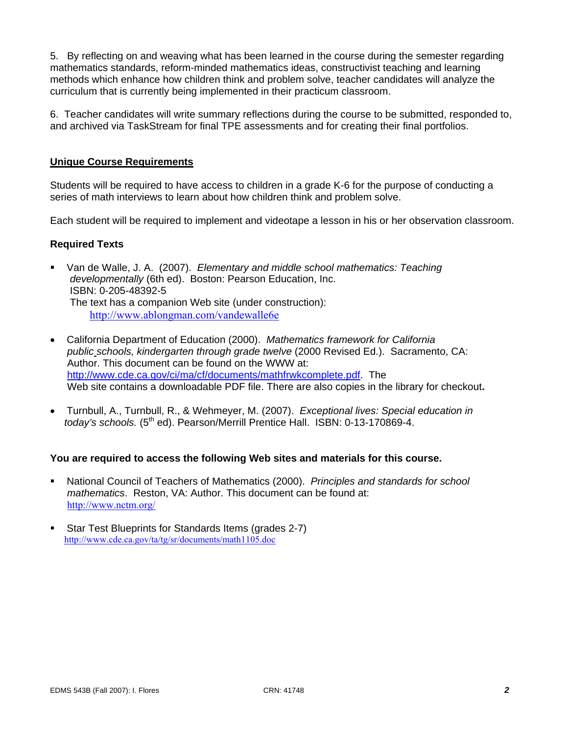5. By reflecting on and weaving what has been learned in the course during the semester regarding mathematics standards, reform-minded mathematics ideas, constructivist teaching and learning methods which enhance how children think and problem solve, teacher candidates will analyze the curriculum that is currently being implemented in their practicum classroom.

6. Teacher candidates will write summary reflections during the course to be submitted, responded to, and archived via TaskStream for final TPE assessments and for creating their final portfolios.

### **Unique Course Requirements**

Students will be required to have access to children in a grade K-6 for the purpose of conducting a series of math interviews to learn about how children think and problem solve.

Each student will be required to implement and videotape a lesson in his or her observation classroom.

#### **Required Texts**

- Van de Walle, J. A. (2007). *Elementary and middle school mathematics: Teaching developmentally* (6th ed). Boston: Pearson Education, Inc. ISBN: 0-205-48392-5 The text has a companion Web site (under construction): http://www.ablongman.com/vandewalle6e
- California Department of Education (2000). *Mathematics framework for California public schools, kindergarten through grade twelve* (2000 Revised Ed.). Sacramento, CA: Author. This document can be found on the WWW at: http://www.cde.ca.gov/ci/ma/cf/documents/mathfrwkcomplete.pdf. The Web site contains a downloadable PDF file. There are also copies in the library for checkout**.**
- Turnbull, A., Turnbull, R., & Wehmeyer, M. (2007). *Exceptional lives: Special education in today's schools.* (5<sup>th</sup> ed). Pearson/Merrill Prentice Hall. ISBN: 0-13-170869-4.

#### **You are required to access the following Web sites and materials for this course.**

- National Council of Teachers of Mathematics (2000). *Principles and standards for school mathematics*. Reston, VA: Author. This document can be found at: http://www.nctm.org/
- Star Test Blueprints for Standards Items (grades 2-7) http://www.cde.ca.gov/ta/tg/sr/documents/math1105.doc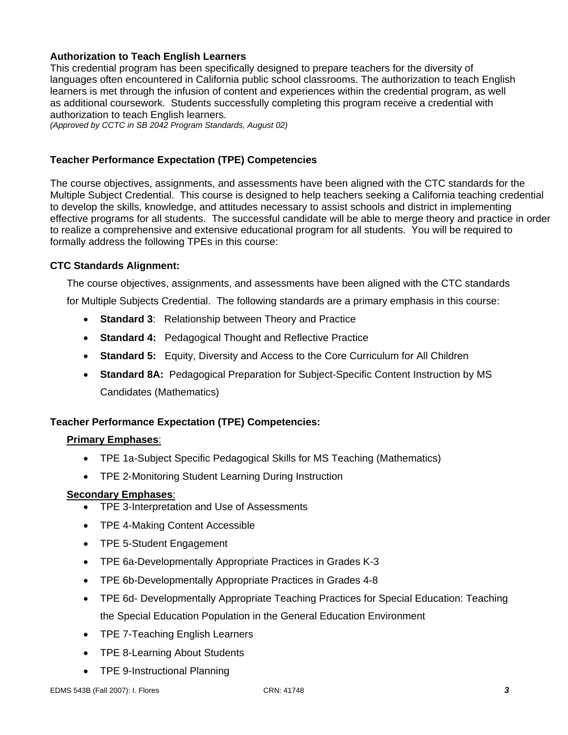# **Authorization to Teach English Learners**

This credential program has been specifically designed to prepare teachers for the diversity of languages often encountered in California public school classrooms. The authorization to teach English learners is met through the infusion of content and experiences within the credential program, as well as additional coursework. Students successfully completing this program receive a credential with authorization to teach English learners.

*(Approved by CCTC in SB 2042 Program Standards, August 02)*

### **Teacher Performance Expectation (TPE) Competencies**

The course objectives, assignments, and assessments have been aligned with the CTC standards for the Multiple Subject Credential. This course is designed to help teachers seeking a California teaching credential to develop the skills, knowledge, and attitudes necessary to assist schools and district in implementing effective programs for all students. The successful candidate will be able to merge theory and practice in order to realize a comprehensive and extensive educational program for all students. You will be required to formally address the following TPEs in this course:

#### **CTC Standards Alignment:**

The course objectives, assignments, and assessments have been aligned with the CTC standards

for Multiple Subjects Credential. The following standards are a primary emphasis in this course:

- **Standard 3**: Relationship between Theory and Practice
- **Standard 4:** Pedagogical Thought and Reflective Practice
- **Standard 5:** Equity, Diversity and Access to the Core Curriculum for All Children
- **Standard 8A:** Pedagogical Preparation for Subject-Specific Content Instruction by MS Candidates (Mathematics)

### **Teacher Performance Expectation (TPE) Competencies:**

#### **Primary Emphases**:

- TPE 1a-Subject Specific Pedagogical Skills for MS Teaching (Mathematics)
- TPE 2-Monitoring Student Learning During Instruction

#### **Secondary Emphases**:

- TPE 3-Interpretation and Use of Assessments
- TPE 4-Making Content Accessible
- TPE 5-Student Engagement
- TPE 6a-Developmentally Appropriate Practices in Grades K-3
- TPE 6b-Developmentally Appropriate Practices in Grades 4-8
- TPE 6d- Developmentally Appropriate Teaching Practices for Special Education: Teaching the Special Education Population in the General Education Environment
- TPE 7-Teaching English Learners
- TPE 8-Learning About Students
- TPE 9-Instructional Planning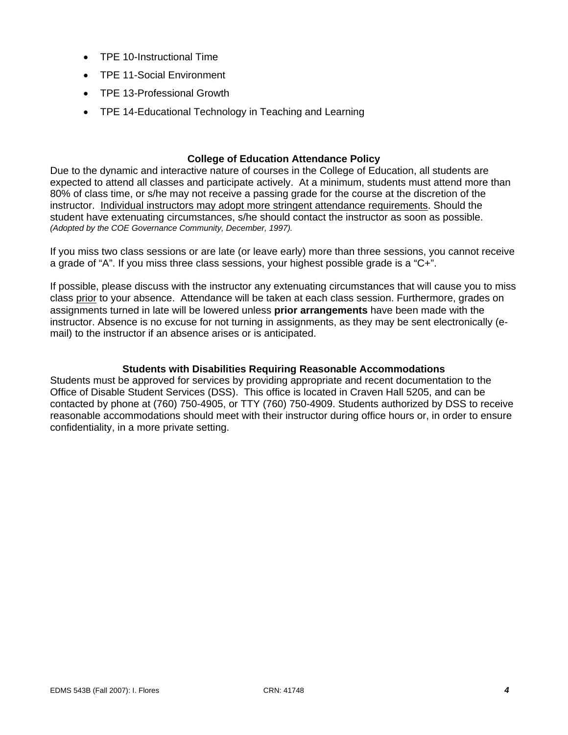- TPE 10-Instructional Time
- TPE 11-Social Environment
- TPE 13-Professional Growth
- TPE 14-Educational Technology in Teaching and Learning

### **College of Education Attendance Policy**

Due to the dynamic and interactive nature of courses in the College of Education, all students are expected to attend all classes and participate actively. At a minimum, students must attend more than 80% of class time, or s/he may not receive a passing grade for the course at the discretion of the instructor. Individual instructors may adopt more stringent attendance requirements. Should the student have extenuating circumstances, s/he should contact the instructor as soon as possible. *(Adopted by the COE Governance Community, December, 1997).*

If you miss two class sessions or are late (or leave early) more than three sessions, you cannot receive a grade of "A". If you miss three class sessions, your highest possible grade is a "C+".

If possible, please discuss with the instructor any extenuating circumstances that will cause you to miss class prior to your absence. Attendance will be taken at each class session. Furthermore, grades on assignments turned in late will be lowered unless **prior arrangements** have been made with the instructor. Absence is no excuse for not turning in assignments, as they may be sent electronically (email) to the instructor if an absence arises or is anticipated.

#### **Students with Disabilities Requiring Reasonable Accommodations**

Students must be approved for services by providing appropriate and recent documentation to the Office of Disable Student Services (DSS). This office is located in Craven Hall 5205, and can be contacted by phone at (760) 750-4905, or TTY (760) 750-4909. Students authorized by DSS to receive reasonable accommodations should meet with their instructor during office hours or, in order to ensure confidentiality, in a more private setting.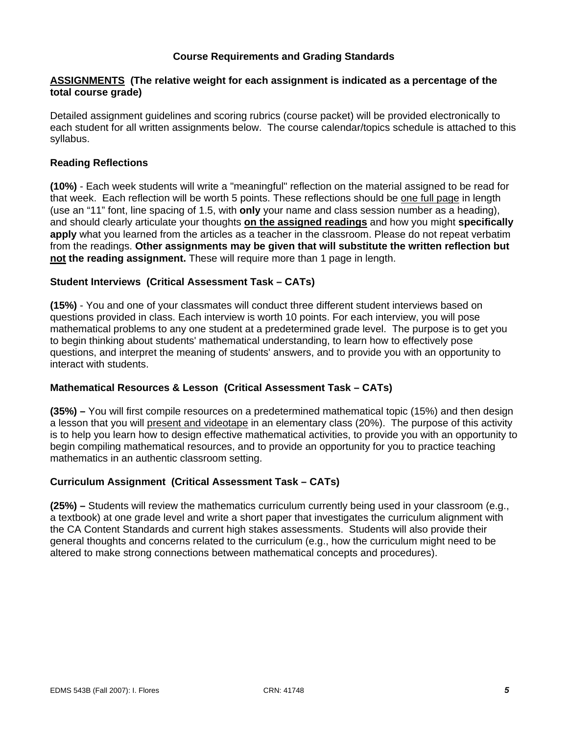### **Course Requirements and Grading Standards**

### **ASSIGNMENTS (The relative weight for each assignment is indicated as a percentage of the total course grade)**

Detailed assignment guidelines and scoring rubrics (course packet) will be provided electronically to each student for all written assignments below. The course calendar/topics schedule is attached to this syllabus.

### **Reading Reflections**

**(10%)** - Each week students will write a "meaningful" reflection on the material assigned to be read for that week. Each reflection will be worth 5 points. These reflections should be one full page in length (use an "11" font, line spacing of 1.5, with **only** your name and class session number as a heading), and should clearly articulate your thoughts **on the assigned readings** and how you might **specifically apply** what you learned from the articles as a teacher in the classroom. Please do not repeat verbatim from the readings. **Other assignments may be given that will substitute the written reflection but not the reading assignment.** These will require more than 1 page in length.

#### **Student Interviews (Critical Assessment Task – CATs)**

**(15%)** - You and one of your classmates will conduct three different student interviews based on questions provided in class. Each interview is worth 10 points. For each interview, you will pose mathematical problems to any one student at a predetermined grade level. The purpose is to get you to begin thinking about students' mathematical understanding, to learn how to effectively pose questions, and interpret the meaning of students' answers, and to provide you with an opportunity to interact with students.

### **Mathematical Resources & Lesson (Critical Assessment Task – CATs)**

**(35%) –** You will first compile resources on a predetermined mathematical topic (15%) and then design a lesson that you will present and videotape in an elementary class (20%). The purpose of this activity is to help you learn how to design effective mathematical activities, to provide you with an opportunity to begin compiling mathematical resources, and to provide an opportunity for you to practice teaching mathematics in an authentic classroom setting.

### **Curriculum Assignment (Critical Assessment Task – CATs)**

**(25%) –** Students will review the mathematics curriculum currently being used in your classroom (e.g., a textbook) at one grade level and write a short paper that investigates the curriculum alignment with the CA Content Standards and current high stakes assessments. Students will also provide their general thoughts and concerns related to the curriculum (e.g., how the curriculum might need to be altered to make strong connections between mathematical concepts and procedures).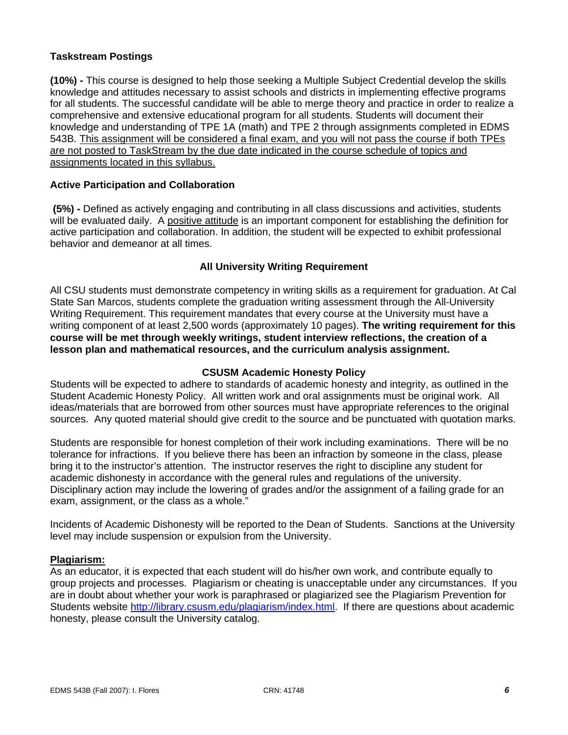# **Taskstream Postings**

**(10%) -** This course is designed to help those seeking a Multiple Subject Credential develop the skills knowledge and attitudes necessary to assist schools and districts in implementing effective programs for all students. The successful candidate will be able to merge theory and practice in order to realize a comprehensive and extensive educational program for all students. Students will document their knowledge and understanding of TPE 1A (math) and TPE 2 through assignments completed in EDMS 543B. This assignment will be considered a final exam, and you will not pass the course if both TPEs are not posted to TaskStream by the due date indicated in the course schedule of topics and assignments located in this syllabus.

#### **Active Participation and Collaboration**

 **(5%) -** Defined as actively engaging and contributing in all class discussions and activities, students will be evaluated daily. A positive attitude is an important component for establishing the definition for active participation and collaboration. In addition, the student will be expected to exhibit professional behavior and demeanor at all times.

### **All University Writing Requirement**

All CSU students must demonstrate competency in writing skills as a requirement for graduation. At Cal State San Marcos, students complete the graduation writing assessment through the All-University Writing Requirement. This requirement mandates that every course at the University must have a writing component of at least 2,500 words (approximately 10 pages). **The writing requirement for this course will be met through weekly writings, student interview reflections, the creation of a lesson plan and mathematical resources, and the curriculum analysis assignment.**

#### **CSUSM Academic Honesty Policy**

Students will be expected to adhere to standards of academic honesty and integrity, as outlined in the Student Academic Honesty Policy. All written work and oral assignments must be original work. All ideas/materials that are borrowed from other sources must have appropriate references to the original sources. Any quoted material should give credit to the source and be punctuated with quotation marks.

Students are responsible for honest completion of their work including examinations. There will be no tolerance for infractions. If you believe there has been an infraction by someone in the class, please bring it to the instructor's attention. The instructor reserves the right to discipline any student for academic dishonesty in accordance with the general rules and regulations of the university. Disciplinary action may include the lowering of grades and/or the assignment of a failing grade for an exam, assignment, or the class as a whole."

Incidents of Academic Dishonesty will be reported to the Dean of Students. Sanctions at the University level may include suspension or expulsion from the University.

#### **Plagiarism:**

As an educator, it is expected that each student will do his/her own work, and contribute equally to group projects and processes. Plagiarism or cheating is unacceptable under any circumstances. If you are in doubt about whether your work is paraphrased or plagiarized see the Plagiarism Prevention for Students website http://library.csusm.edu/plagiarism/index.html. If there are questions about academic honesty, please consult the University catalog.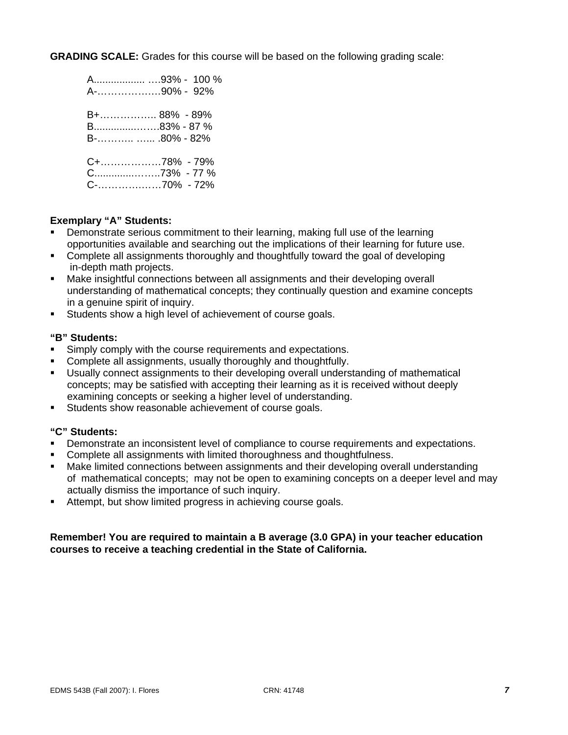**GRADING SCALE:** Grades for this course will be based on the following grading scale:

| A93% - 100 %<br>A-90% - 92%                   |
|-----------------------------------------------|
| B+ 88% - 89%<br>B83% - 87 %<br>$B$ -80% - 82% |
| C+78% - 79%<br>C73% - 77 %                    |

#### **Exemplary "A" Students:**

- Demonstrate serious commitment to their learning, making full use of the learning opportunities available and searching out the implications of their learning for future use.
- **Complete all assignments thoroughly and thoughtfully toward the goal of developing** in-depth math projects.
- Make insightful connections between all assignments and their developing overall understanding of mathematical concepts; they continually question and examine concepts in a genuine spirit of inquiry.
- Students show a high level of achievement of course goals.

### **"B" Students:**

- Simply comply with the course requirements and expectations.
- Complete all assignments, usually thoroughly and thoughtfully.
- Usually connect assignments to their developing overall understanding of mathematical concepts; may be satisfied with accepting their learning as it is received without deeply examining concepts or seeking a higher level of understanding.
- **Students show reasonable achievement of course goals.**

### **"C" Students:**

- Demonstrate an inconsistent level of compliance to course requirements and expectations.
- Complete all assignments with limited thoroughness and thoughtfulness.
- Make limited connections between assignments and their developing overall understanding of mathematical concepts; may not be open to examining concepts on a deeper level and may actually dismiss the importance of such inquiry.
- Attempt, but show limited progress in achieving course goals.

#### **Remember! You are required to maintain a B average (3.0 GPA) in your teacher education courses to receive a teaching credential in the State of California.**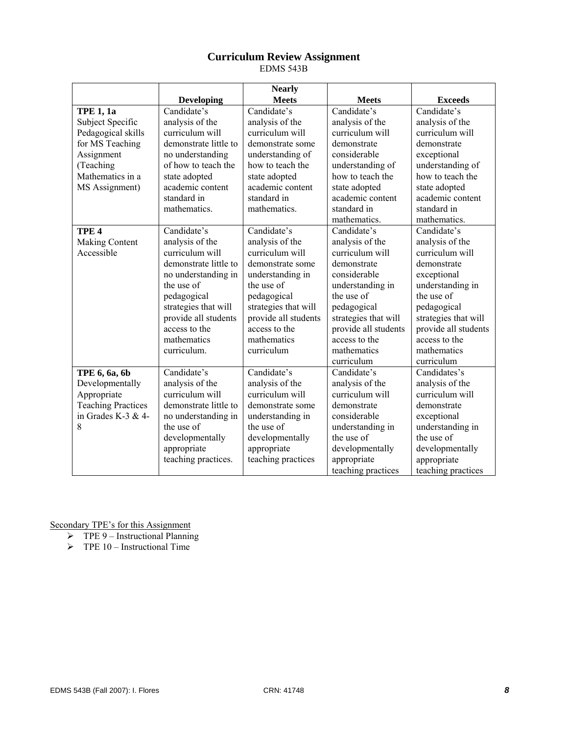# **Curriculum Review Assignment**

EDMS 543B

|                           |                       | <b>Nearly</b>        |                      |                      |
|---------------------------|-----------------------|----------------------|----------------------|----------------------|
|                           | <b>Developing</b>     | <b>Meets</b>         | <b>Meets</b>         | <b>Exceeds</b>       |
| <b>TPE 1, 1a</b>          | Candidate's           | Candidate's          | Candidate's          | Candidate's          |
| Subject Specific          | analysis of the       | analysis of the      | analysis of the      | analysis of the      |
| Pedagogical skills        | curriculum will       | curriculum will      | curriculum will      | curriculum will      |
| for MS Teaching           | demonstrate little to | demonstrate some     | demonstrate          | demonstrate          |
| Assignment                | no understanding      | understanding of     | considerable         | exceptional          |
| (Teaching                 | of how to teach the   | how to teach the     | understanding of     | understanding of     |
| Mathematics in a          | state adopted         | state adopted        | how to teach the     | how to teach the     |
| MS Assignment)            | academic content      | academic content     | state adopted        | state adopted        |
|                           | standard in           | standard in          | academic content     | academic content     |
|                           | mathematics.          | mathematics.         | standard in          | standard in          |
|                           |                       |                      | mathematics.         | mathematics.         |
| TPE <sub>4</sub>          | Candidate's           | Candidate's          | Candidate's          | Candidate's          |
| <b>Making Content</b>     | analysis of the       | analysis of the      | analysis of the      | analysis of the      |
| Accessible                | curriculum will       | curriculum will      | curriculum will      | curriculum will      |
|                           | demonstrate little to | demonstrate some     | demonstrate          | demonstrate          |
|                           | no understanding in   | understanding in     | considerable         | exceptional          |
|                           | the use of            | the use of           | understanding in     | understanding in     |
|                           | pedagogical           | pedagogical          | the use of           | the use of           |
|                           | strategies that will  | strategies that will | pedagogical          | pedagogical          |
|                           | provide all students  | provide all students | strategies that will | strategies that will |
|                           | access to the         | access to the        | provide all students | provide all students |
|                           | mathematics           | mathematics          | access to the        | access to the        |
|                           | curriculum.           | curriculum           | mathematics          | mathematics          |
|                           |                       |                      | curriculum           | curriculum           |
| TPE 6, 6a, 6b             | Candidate's           | Candidate's          | Candidate's          | Candidates's         |
| Developmentally           | analysis of the       | analysis of the      | analysis of the      | analysis of the      |
| Appropriate               | curriculum will       | curriculum will      | curriculum will      | curriculum will      |
| <b>Teaching Practices</b> | demonstrate little to | demonstrate some     | demonstrate          | demonstrate          |
| in Grades K-3 & 4-        | no understanding in   | understanding in     | considerable         | exceptional          |
| 8                         | the use of            | the use of           | understanding in     | understanding in     |
|                           | developmentally       | developmentally      | the use of           | the use of           |
|                           | appropriate           | appropriate          | developmentally      | developmentally      |
|                           | teaching practices.   | teaching practices   | appropriate          | appropriate          |
|                           |                       |                      | teaching practices   | teaching practices   |

Secondary TPE's for this Assignment

- $\triangleright$  TPE 9 Instructional Planning
- $\triangleright$  TPE 10 Instructional Time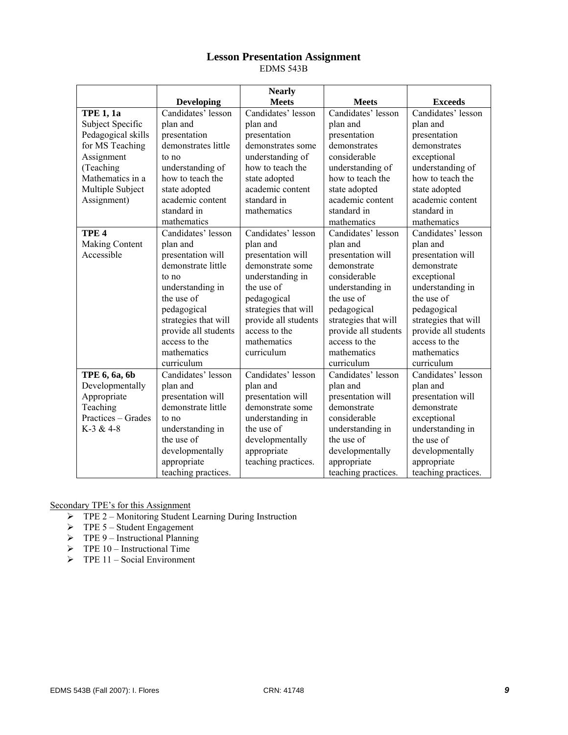# **Lesson Presentation Assignment**

EDMS 543B

|                    |                      | <b>Nearly</b>        |                      |                      |
|--------------------|----------------------|----------------------|----------------------|----------------------|
|                    | <b>Developing</b>    | <b>Meets</b>         | <b>Meets</b>         | <b>Exceeds</b>       |
| <b>TPE 1, 1a</b>   | Candidates' lesson   | Candidates' lesson   | Candidates' lesson   | Candidates' lesson   |
| Subject Specific   | plan and             | plan and             | plan and             | plan and             |
| Pedagogical skills | presentation         | presentation         | presentation         | presentation         |
| for MS Teaching    | demonstrates little  | demonstrates some    | demonstrates         | demonstrates         |
| Assignment         | to no                | understanding of     | considerable         | exceptional          |
| (Teaching          | understanding of     | how to teach the     | understanding of     | understanding of     |
| Mathematics in a   | how to teach the     | state adopted        | how to teach the     | how to teach the     |
| Multiple Subject   | state adopted        | academic content     | state adopted        | state adopted        |
| Assignment)        | academic content     | standard in          | academic content     | academic content     |
|                    | standard in          | mathematics          | standard in          | standard in          |
|                    | mathematics          |                      | mathematics          | mathematics          |
| TPE <sub>4</sub>   | Candidates' lesson   | Candidates' lesson   | Candidates' lesson   | Candidates' lesson   |
| Making Content     | plan and             | plan and             | plan and             | plan and             |
| Accessible         | presentation will    | presentation will    | presentation will    | presentation will    |
|                    | demonstrate little   | demonstrate some     | demonstrate          | demonstrate          |
|                    | to no                | understanding in     | considerable         | exceptional          |
|                    | understanding in     | the use of           | understanding in     | understanding in     |
|                    | the use of           | pedagogical          | the use of           | the use of           |
|                    | pedagogical          | strategies that will | pedagogical          | pedagogical          |
|                    | strategies that will | provide all students | strategies that will | strategies that will |
|                    | provide all students | access to the        | provide all students | provide all students |
|                    | access to the        | mathematics          | access to the        | access to the        |
|                    | mathematics          | curriculum           | mathematics          | mathematics          |
|                    | curriculum           |                      | curriculum           | curriculum           |
| TPE 6, 6a, 6b      | Candidates' lesson   | Candidates' lesson   | Candidates' lesson   | Candidates' lesson   |
| Developmentally    | plan and             | plan and             | plan and             | plan and             |
| Appropriate        | presentation will    | presentation will    | presentation will    | presentation will    |
| Teaching           | demonstrate little   | demonstrate some     | demonstrate          | demonstrate          |
| Practices - Grades | to no                | understanding in     | considerable         | exceptional          |
| $K-3 & 4-8$        | understanding in     | the use of           | understanding in     | understanding in     |
|                    | the use of           | developmentally      | the use of           | the use of           |
|                    | developmentally      | appropriate          | developmentally      | developmentally      |
|                    | appropriate          | teaching practices.  | appropriate          | appropriate          |
|                    | teaching practices.  |                      | teaching practices.  | teaching practices.  |

Secondary TPE's for this Assignment

- ¾ TPE 2 Monitoring Student Learning During Instruction
- $\triangleright$  TPE 5 Student Engagement
- $\triangleright$  TPE 9 Instructional Planning
- $\triangleright$  TPE 10 Instructional Time
- $\triangleright$  TPE 11 Social Environment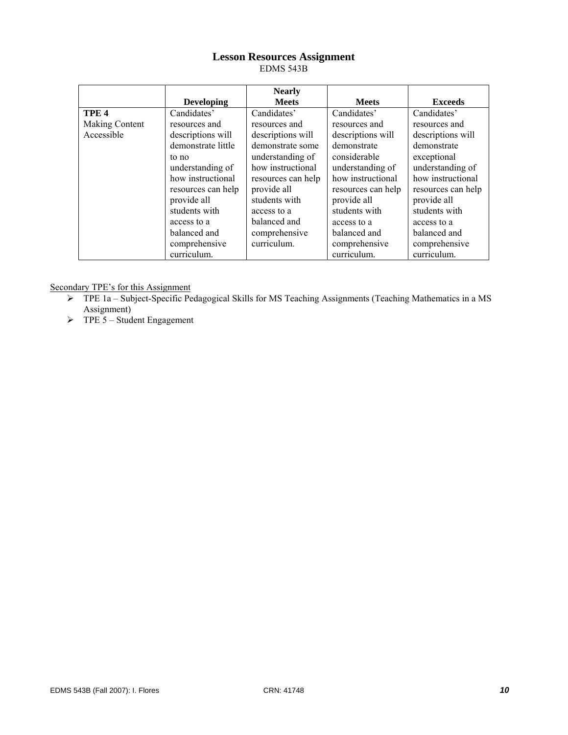# **Lesson Resources Assignment**

EDMS 543B

|                  |                    | <b>Nearly</b>      |                    |                    |
|------------------|--------------------|--------------------|--------------------|--------------------|
|                  | <b>Developing</b>  | <b>Meets</b>       | <b>Meets</b>       | <b>Exceeds</b>     |
| TPE <sub>4</sub> | Candidates'        | Candidates'        | Candidates'        | Candidates'        |
| Making Content   | resources and      | resources and      | resources and      | resources and      |
| Accessible       | descriptions will  | descriptions will  | descriptions will  | descriptions will  |
|                  | demonstrate little | demonstrate some   | demonstrate        | demonstrate        |
|                  | to no              | understanding of   | considerable       | exceptional        |
|                  | understanding of   | how instructional  | understanding of   | understanding of   |
|                  | how instructional  | resources can help | how instructional  | how instructional  |
|                  | resources can help | provide all        | resources can help | resources can help |
|                  | provide all        | students with      | provide all        | provide all        |
|                  | students with      | access to a        | students with      | students with      |
|                  | access to a        | balanced and       | access to a        | access to a        |
|                  | balanced and       | comprehensive      | balanced and       | balanced and       |
|                  | comprehensive      | curriculum.        | comprehensive      | comprehensive      |
|                  | curriculum.        |                    | curriculum.        | curriculum.        |

Secondary TPE's for this Assignment

- ¾ TPE 1a Subject-Specific Pedagogical Skills for MS Teaching Assignments (Teaching Mathematics in a MS Assignment)
- $\triangleright$  TPE 5 Student Engagement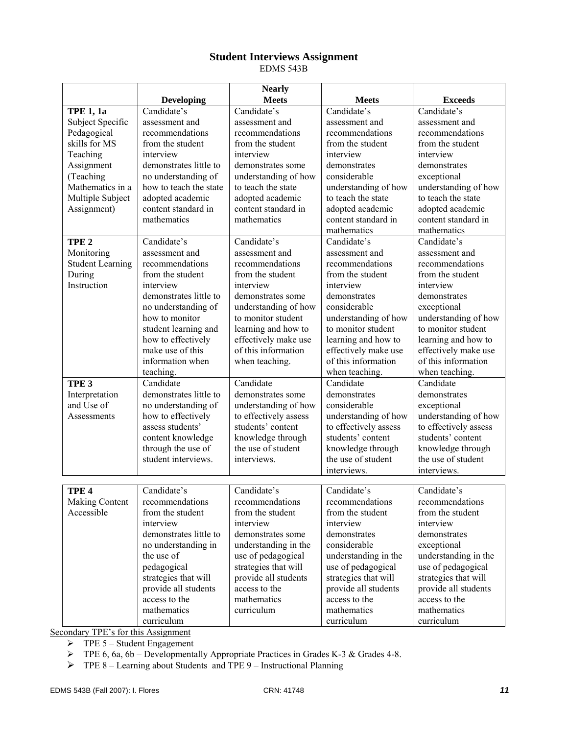### **Student Interviews Assignment**

EDMS 543B

|                         |                        | <b>Nearly</b>                |                              |                              |
|-------------------------|------------------------|------------------------------|------------------------------|------------------------------|
|                         | <b>Developing</b>      | <b>Meets</b>                 | <b>Meets</b>                 | <b>Exceeds</b>               |
| <b>TPE 1, 1a</b>        | Candidate's            | Candidate's                  | Candidate's                  | Candidate's                  |
| Subject Specific        | assessment and         | assessment and               | assessment and               | assessment and               |
| Pedagogical             | recommendations        | recommendations              | recommendations              | recommendations              |
| skills for MS           | from the student       | from the student             | from the student             | from the student             |
| Teaching                | interview              | interview                    | interview                    | interview                    |
| Assignment              | demonstrates little to | demonstrates some            | demonstrates                 | demonstrates                 |
| (Teaching               | no understanding of    | understanding of how         | considerable                 | exceptional                  |
| Mathematics in a        | how to teach the state | to teach the state           | understanding of how         | understanding of how         |
| Multiple Subject        | adopted academic       | adopted academic             | to teach the state           | to teach the state           |
| Assignment)             | content standard in    | content standard in          | adopted academic             | adopted academic             |
|                         | mathematics            | mathematics                  | content standard in          | content standard in          |
|                         |                        |                              | mathematics                  | mathematics                  |
| TPE <sub>2</sub>        | Candidate's            | Candidate's                  | Candidate's                  | Candidate's                  |
| Monitoring              | assessment and         | assessment and               | assessment and               | assessment and               |
| <b>Student Learning</b> | recommendations        | recommendations              | recommendations              | recommendations              |
| During                  | from the student       | from the student             | from the student             | from the student             |
| Instruction             | interview              | interview                    | interview                    | interview                    |
|                         | demonstrates little to | demonstrates some            | demonstrates                 | demonstrates                 |
|                         | no understanding of    | understanding of how         | considerable                 | exceptional                  |
|                         | how to monitor         | to monitor student           | understanding of how         | understanding of how         |
|                         | student learning and   | learning and how to          | to monitor student           | to monitor student           |
|                         | how to effectively     | effectively make use         | learning and how to          | learning and how to          |
|                         | make use of this       | of this information          | effectively make use         | effectively make use         |
|                         | information when       | when teaching.               | of this information          | of this information          |
|                         | teaching.              |                              | when teaching.               | when teaching.               |
| TPE <sub>3</sub>        | Candidate              | Candidate                    | Candidate                    | Candidate                    |
| Interpretation          | demonstrates little to | demonstrates some            | demonstrates                 | demonstrates                 |
| and Use of              | no understanding of    | understanding of how         | considerable                 | exceptional                  |
| Assessments             | how to effectively     | to effectively assess        | understanding of how         | understanding of how         |
|                         | assess students'       | students' content            | to effectively assess        | to effectively assess        |
|                         | content knowledge      | knowledge through            | students' content            | students' content            |
|                         | through the use of     | the use of student           | knowledge through            | knowledge through            |
|                         | student interviews.    | interviews.                  | the use of student           | the use of student           |
|                         |                        |                              | interviews.                  | interviews.                  |
|                         |                        |                              |                              |                              |
| TPE <sub>4</sub>        | Candidate's            | Candidate's                  | Candidate's                  | Candidate's                  |
| <b>Making Content</b>   | recommendations        | recommendations              | recommendations              | recommendations              |
| Accessible              | from the student       | from the student             | from the student             | from the student             |
|                         | interview              | interview                    | interview                    | interview                    |
|                         | demonstrates little to | demonstrates some            | demonstrates                 | demonstrates                 |
|                         | no understanding in    | understanding in the         | considerable                 | exceptional                  |
|                         | the use of             | use of pedagogical           | understanding in the         | understanding in the         |
|                         | pedagogical            | strategies that will         | use of pedagogical           | use of pedagogical           |
|                         |                        |                              |                              | strategies that will         |
|                         | strategies that will   | provide all students         | strategies that will         |                              |
|                         | provide all students   | access to the<br>mathematics | provide all students         | provide all students         |
|                         | access to the          |                              | access to the<br>mathematics | access to the<br>mathematics |
|                         | mathematics            | curriculum                   |                              |                              |
|                         | curriculum             |                              | curriculum                   | curriculum                   |

Secondary TPE's for this Assignment

 $\triangleright$  TPE 5 – Student Engagement

¾ TPE 6, 6a, 6b – Developmentally Appropriate Practices in Grades K-3 & Grades 4-8.

 $\triangleright$  TPE 8 – Learning about Students and TPE 9 – Instructional Planning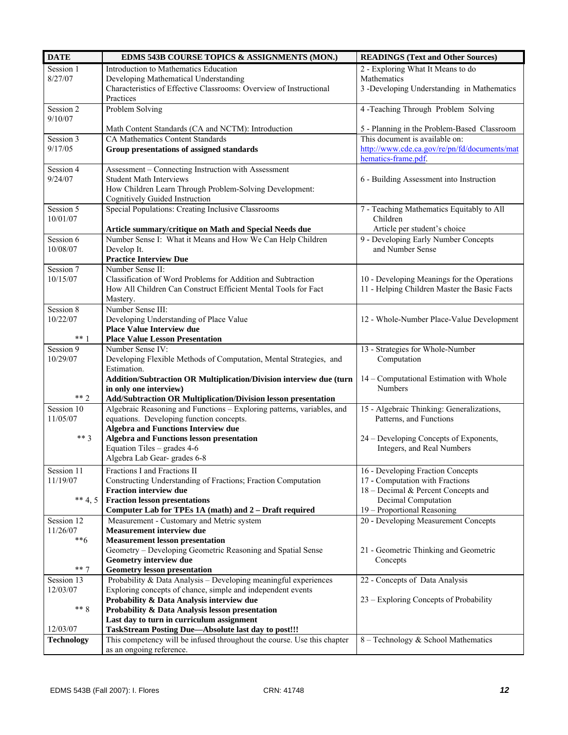| <b>DATE</b>       | EDMS 543B COURSE TOPICS & ASSIGNMENTS (MON.)                                                   | <b>READINGS (Text and Other Sources)</b>                               |
|-------------------|------------------------------------------------------------------------------------------------|------------------------------------------------------------------------|
| Session 1         | Introduction to Mathematics Education                                                          | 2 - Exploring What It Means to do                                      |
| 8/27/07           | Developing Mathematical Understanding                                                          | Mathematics                                                            |
|                   | Characteristics of Effective Classrooms: Overview of Instructional                             | 3 -Developing Understanding in Mathematics                             |
|                   | Practices                                                                                      |                                                                        |
| Session 2         | Problem Solving                                                                                | 4 -Teaching Through Problem Solving                                    |
| 9/10/07           |                                                                                                |                                                                        |
|                   | Math Content Standards (CA and NCTM): Introduction                                             | 5 - Planning in the Problem-Based Classroom                            |
| Session 3         | <b>CA Mathematics Content Standards</b>                                                        | This document is available on:                                         |
| 9/17/05           | Group presentations of assigned standards                                                      | http://www.cde.ca.gov/re/pn/fd/documents/mat                           |
|                   |                                                                                                | hematics-frame.pdf.                                                    |
| Session 4         | Assessment - Connecting Instruction with Assessment                                            |                                                                        |
| 9/24/07           | <b>Student Math Interviews</b>                                                                 | 6 - Building Assessment into Instruction                               |
|                   | How Children Learn Through Problem-Solving Development:                                        |                                                                        |
|                   | <b>Cognitively Guided Instruction</b>                                                          |                                                                        |
| Session 5         | Special Populations: Creating Inclusive Classrooms                                             | 7 - Teaching Mathematics Equitably to All                              |
| 10/01/07          |                                                                                                | Children                                                               |
|                   | Article summary/critique on Math and Special Needs due                                         | Article per student's choice                                           |
| Session 6         | Number Sense I: What it Means and How We Can Help Children<br>Develop It.                      | 9 - Developing Early Number Concepts<br>and Number Sense               |
| 10/08/07          | <b>Practice Interview Due</b>                                                                  |                                                                        |
| Session 7         | Number Sense II:                                                                               |                                                                        |
| 10/15/07          | Classification of Word Problems for Addition and Subtraction                                   | 10 - Developing Meanings for the Operations                            |
|                   | How All Children Can Construct Efficient Mental Tools for Fact                                 | 11 - Helping Children Master the Basic Facts                           |
|                   | Mastery.                                                                                       |                                                                        |
| Session 8         | Number Sense III:                                                                              |                                                                        |
| 10/22/07          | Developing Understanding of Place Value                                                        | 12 - Whole-Number Place-Value Development                              |
|                   | <b>Place Value Interview due</b>                                                               |                                                                        |
| $***$ 1           | <b>Place Value Lesson Presentation</b>                                                         |                                                                        |
| Session 9         | Number Sense IV:                                                                               | 13 - Strategies for Whole-Number                                       |
| 10/29/07          | Developing Flexible Methods of Computation, Mental Strategies, and                             | Computation                                                            |
|                   | Estimation.                                                                                    |                                                                        |
|                   | Addition/Subtraction OR Multiplication/Division interview due (turn                            | 14 - Computational Estimation with Whole                               |
|                   | in only one interview)                                                                         | <b>Numbers</b>                                                         |
| $** 2$            | Add/Subtraction OR Multiplication/Division lesson presentation                                 |                                                                        |
| Session 10        | Algebraic Reasoning and Functions - Exploring patterns, variables, and                         | 15 - Algebraic Thinking: Generalizations,                              |
| 11/05/07          | equations. Developing function concepts.                                                       | Patterns, and Functions                                                |
| $***$ 3           | <b>Algebra and Functions Interview due</b>                                                     |                                                                        |
|                   | <b>Algebra and Functions lesson presentation</b><br>Equation Tiles - grades 4-6                | 24 – Developing Concepts of Exponents,<br>Integers, and Real Numbers   |
|                   | Algebra Lab Gear-grades 6-8                                                                    |                                                                        |
|                   |                                                                                                |                                                                        |
| Session 11        | Fractions I and Fractions II                                                                   | 16 - Developing Fraction Concepts                                      |
| 11/19/07          | Constructing Understanding of Fractions; Fraction Computation<br><b>Fraction interview due</b> | 17 - Computation with Fractions<br>18 – Decimal & Percent Concepts and |
| ** 4, 5           | <b>Fraction lesson presentations</b>                                                           | Decimal Computation                                                    |
|                   | Computer Lab for TPEs 1A (math) and 2 - Draft required                                         | 19 - Proportional Reasoning                                            |
| Session 12        | Measurement - Customary and Metric system                                                      | 20 - Developing Measurement Concepts                                   |
| 11/26/07          | <b>Measurement interview due</b>                                                               |                                                                        |
| $**6$             | <b>Measurement lesson presentation</b>                                                         |                                                                        |
|                   | Geometry - Developing Geometric Reasoning and Spatial Sense                                    | 21 - Geometric Thinking and Geometric                                  |
|                   | Geometry interview due                                                                         | Concepts                                                               |
| $***7$            | <b>Geometry lesson presentation</b>                                                            |                                                                        |
| Session 13        | Probability & Data Analysis - Developing meaningful experiences                                | 22 - Concepts of Data Analysis                                         |
| 12/03/07          | Exploring concepts of chance, simple and independent events                                    |                                                                        |
|                   | Probability & Data Analysis interview due                                                      | 23 – Exploring Concepts of Probability                                 |
| $** 8$            | Probability & Data Analysis lesson presentation                                                |                                                                        |
|                   | Last day to turn in curriculum assignment                                                      |                                                                        |
| 12/03/07          | TaskStream Posting Due-Absolute last day to post!!!                                            |                                                                        |
| <b>Technology</b> | This competency will be infused throughout the course. Use this chapter                        | 8 - Technology & School Mathematics                                    |
|                   | as an ongoing reference.                                                                       |                                                                        |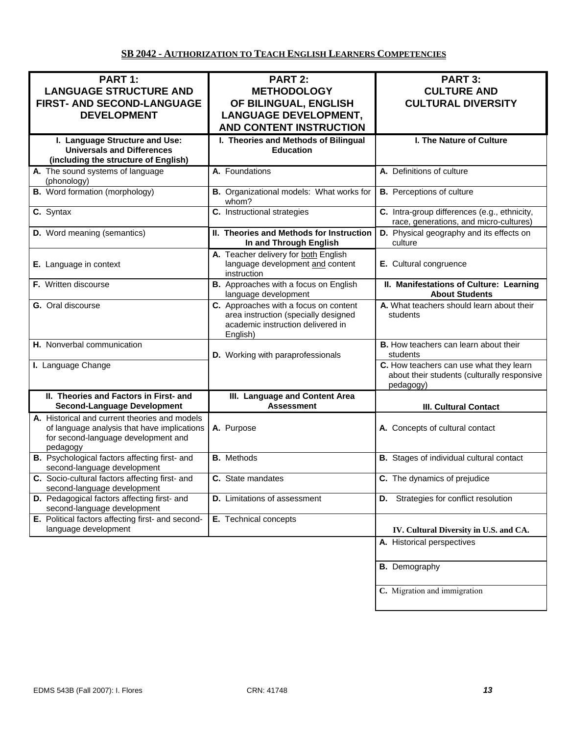# **SB 2042 - AUTHORIZATION TO TEACH ENGLISH LEARNERS COMPETENCIES**

| PART 1:<br><b>LANGUAGE STRUCTURE AND</b><br>FIRST- AND SECOND-LANGUAGE<br><b>DEVELOPMENT</b>                                                    | <b>PART 2:</b><br><b>METHODOLOGY</b><br>OF BILINGUAL, ENGLISH<br><b>LANGUAGE DEVELOPMENT,</b><br><b>AND CONTENT INSTRUCTION</b> | <b>PART 3:</b><br><b>CULTURE AND</b><br><b>CULTURAL DIVERSITY</b>                                   |
|-------------------------------------------------------------------------------------------------------------------------------------------------|---------------------------------------------------------------------------------------------------------------------------------|-----------------------------------------------------------------------------------------------------|
| I. Language Structure and Use:<br><b>Universals and Differences</b><br>(including the structure of English)                                     | I. Theories and Methods of Bilingual<br><b>Education</b>                                                                        | I. The Nature of Culture                                                                            |
| A. The sound systems of language<br>(phonology)                                                                                                 | A. Foundations                                                                                                                  | A. Definitions of culture                                                                           |
| <b>B.</b> Word formation (morphology)                                                                                                           | B. Organizational models: What works for<br>whom?                                                                               | <b>B.</b> Perceptions of culture                                                                    |
| C. Syntax                                                                                                                                       | C. Instructional strategies                                                                                                     | C. Intra-group differences (e.g., ethnicity,<br>race, generations, and micro-cultures)              |
| D. Word meaning (semantics)                                                                                                                     | II. Theories and Methods for Instruction<br>In and Through English                                                              | D. Physical geography and its effects on<br>culture                                                 |
| E. Language in context                                                                                                                          | A. Teacher delivery for both English<br>language development and content<br>instruction                                         | E. Cultural congruence                                                                              |
| <b>F.</b> Written discourse                                                                                                                     | <b>B.</b> Approaches with a focus on English<br>language development                                                            | II. Manifestations of Culture: Learning<br><b>About Students</b>                                    |
| G. Oral discourse                                                                                                                               | C. Approaches with a focus on content<br>area instruction (specially designed<br>academic instruction delivered in<br>English)  | A. What teachers should learn about their<br>students                                               |
| H. Nonverbal communication                                                                                                                      | D. Working with paraprofessionals                                                                                               | <b>B.</b> How teachers can learn about their<br>students                                            |
| I. Language Change                                                                                                                              |                                                                                                                                 | C. How teachers can use what they learn<br>about their students (culturally responsive<br>pedagogy) |
| II. Theories and Factors in First- and<br><b>Second-Language Development</b>                                                                    | III. Language and Content Area<br><b>Assessment</b>                                                                             | <b>III. Cultural Contact</b>                                                                        |
| A. Historical and current theories and models<br>of language analysis that have implications<br>for second-language development and<br>pedagogy | A. Purpose                                                                                                                      | A. Concepts of cultural contact                                                                     |
| B. Psychological factors affecting first- and<br>second-language development                                                                    | <b>B.</b> Methods                                                                                                               | <b>B.</b> Stages of individual cultural contact                                                     |
| C. Socio-cultural factors affecting first- and<br>second-language development                                                                   | C. State mandates                                                                                                               | C. The dynamics of prejudice                                                                        |
| D. Pedagogical factors affecting first- and<br>second-language development                                                                      | <b>D.</b> Limitations of assessment                                                                                             | <b>D.</b> Strategies for conflict resolution                                                        |
| E. Political factors affecting first- and second-<br>language development                                                                       | E. Technical concepts                                                                                                           | IV. Cultural Diversity in U.S. and CA.                                                              |
|                                                                                                                                                 |                                                                                                                                 | A. Historical perspectives                                                                          |
|                                                                                                                                                 |                                                                                                                                 | <b>B.</b> Demography                                                                                |
|                                                                                                                                                 |                                                                                                                                 | C. Migration and immigration                                                                        |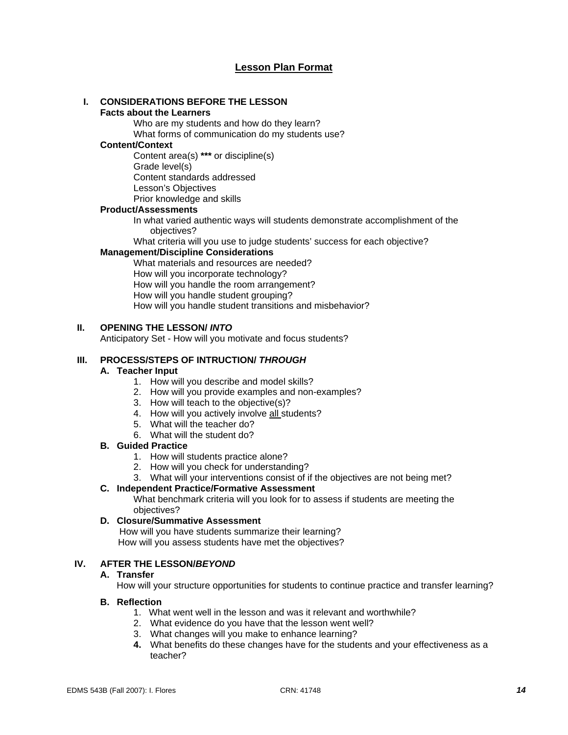### **Lesson Plan Format**

#### **I. CONSIDERATIONS BEFORE THE LESSON**

#### **Facts about the Learners**

Who are my students and how do they learn?

What forms of communication do my students use?

#### **Content/Context**

Content area(s) **\*\*\*** or discipline(s) Grade level(s) Content standards addressed Lesson's Objectives Prior knowledge and skills

#### **Product/Assessments**

In what varied authentic ways will students demonstrate accomplishment of the objectives?

What criteria will you use to judge students' success for each objective?

#### **Management/Discipline Considerations**

What materials and resources are needed? How will you incorporate technology? How will you handle the room arrangement? How will you handle student grouping? How will you handle student transitions and misbehavior?

#### **II. OPENING THE LESSON/** *INTO*

Anticipatory Set - How will you motivate and focus students?

#### **III. PROCESS/STEPS OF INTRUCTION/** *THROUGH*

#### **A. Teacher Input**

- 1. How will you describe and model skills?
- 2. How will you provide examples and non-examples?
- 3. How will teach to the objective(s)?
- 4. How will you actively involve all students?
- 5. What will the teacher do?
- 6. What will the student do?

#### **B. Guided Practice**

- 1. How will students practice alone?
- 2. How will you check for understanding?
- 3. What will your interventions consist of if the objectives are not being met?

#### **C. Independent Practice/Formative Assessment**

What benchmark criteria will you look for to assess if students are meeting the objectives?

#### **D. Closure/Summative Assessment**

 How will you have students summarize their learning? How will you assess students have met the objectives?

#### **IV. AFTER THE LESSON/***BEYOND*

#### **A. Transfer**

How will your structure opportunities for students to continue practice and transfer learning?

#### **B. Reflection**

- 1. What went well in the lesson and was it relevant and worthwhile?
- 2. What evidence do you have that the lesson went well?
- 3. What changes will you make to enhance learning?
- **4.** What benefits do these changes have for the students and your effectiveness as a teacher?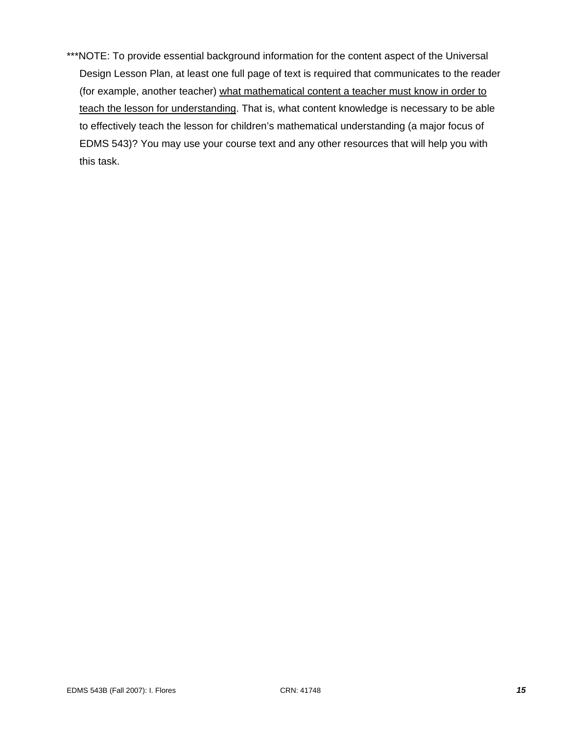\*\*\*NOTE: To provide essential background information for the content aspect of the Universal Design Lesson Plan, at least one full page of text is required that communicates to the reader (for example, another teacher) what mathematical content a teacher must know in order to teach the lesson for understanding. That is, what content knowledge is necessary to be able to effectively teach the lesson for children's mathematical understanding (a major focus of EDMS 543)? You may use your course text and any other resources that will help you with this task.